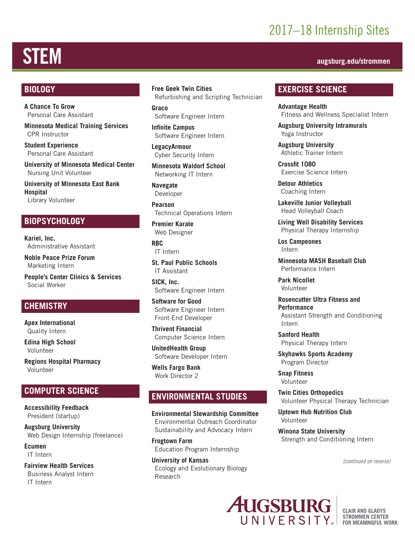## 2017–18 Internship Sites

# STEM **augsburg.edu/strommen**

#### **BIOLOGY**

**A Chance To Grow** Personal Care Assistant

**Minnesota Medical Training Services** CPR Instructor

**Student Experience** Personal Care Assistant

**University of Minnesota Medical Center** Nursing Unit Volunteer

**University of Minnesota East Bank Hospital** Library Volunteer

#### **BIOPSYCHOLOGY**

**Kariel, Inc.** Administrative Assistant

**Noble Peace Prize Forum** Marketing Intern

**People's Center Clinics & Services** Social Worker

#### **CHEMISTRY**

**Apex International** Quality Intern

**Edina High School** Volunteer

**Regions Hospital Pharmacy**  Volunteer

#### **COMPUTER SCIENCE**

**Accessibility Feedback** President (startup)

**Augsburg University** Web Design Internship (freelance)

**Ecumen** IT Intern

**Fairview Health Services** Business Analyst Intern IT Intern

#### **Free Geek Twin Cities** Refurbishing and Scripting Technician

**Graco** Software Engineer Intern

**Infinite Campus** Software Engineer Intern

**LegacyArmour** Cyber Security Intern

**Minnesota Waldorf School** Networking IT Intern

**Navegate** Developer

**Pearson** Technical Operations Intern

**Premier Karate** Web Designer

**RBC** IT Intern

**St. Paul Public Schools** IT Assistant

**SICK, Inc.** Software Engineer Intern

**Software for Good** Software Engineer Intern Front-End Developer

**Thrivent Financial** Computer Science Intern

**UnitedHealth Group** Software Developer Intern

**Wells Fargo Bank** Work Director 2

#### **ENVIRONMENTAL STUDIES**

**Environmental Stewardship Committee** Environmental Outreach Coordinator Sustainability and Advocacy Intern

**Frogtown Farm** Education Program Internship

**University of Kansas** Ecology and Evolutionary Biology Research

#### **EXERCISE SCIENCE**

**Advantage Health** Fitness and Wellness Specialist Intern

**Augsburg University Intramurals** Yoga Instructor

**Augsburg University** Athletic Trainer Intern

**Crossfit 1080** Exercise Science Intern

**Detour Athletics** Coaching Intern

**Lakeville Junior Volleyball**  Head Volleyball Coach

**Living Well Disability Services** Physical Therapy Internship

**Los Campeones** Intern

**Minnesota MASH Baseball Club** Performance Intern

**Park Nicollet** Volunteer

**Rosencutter Ultra Fitness and Performance** Assistant Strength and Conditioning Intern

**Sanford Health** Physical Therapy Intern

**Skyhawks Sports Academy** Program Director

**Snap Fitness** Volunteer

**Twin Cities Orthopedics** Volunteer Physical Therapy Technician

**Uptown Hub Nutrition Club** Volunteer

**Winona State University** Strength and Conditioning Intern

*(continued on reverse)*



**CLAIR AND GLADYS STROMMEN CENTER FOR MEANINGFUL WORK**